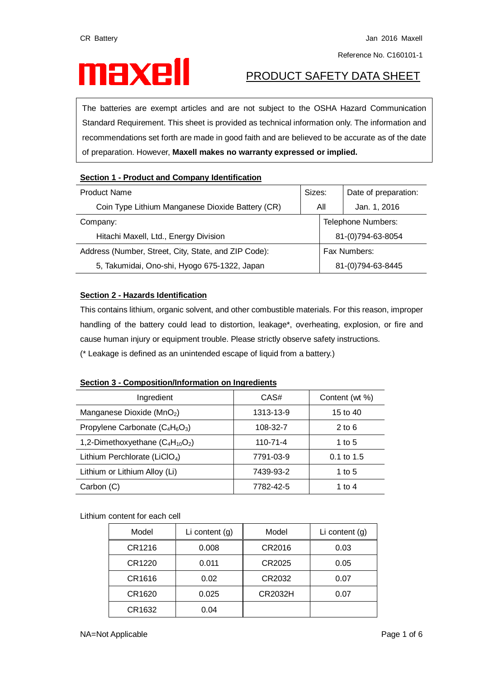# **PRODUCT SAFETY DATA SHEET**

The batteries are exempt articles and are not subject to the OSHA Hazard Communication Standard Requirement. This sheet is provided as technical information only. The information and recommendations set forth are made in good faith and are believed to be accurate as of the date of preparation. However, **Maxell makes no warranty expressed or implied.**

# **Section 1 - Product and Company Identification**

| Sizes:<br><b>Product Name</b>                        |     |                    | Date of preparation: |  |
|------------------------------------------------------|-----|--------------------|----------------------|--|
| Coin Type Lithium Manganese Dioxide Battery (CR)     | All |                    | Jan. 1, 2016         |  |
| Company:                                             |     | Telephone Numbers: |                      |  |
| Hitachi Maxell, Ltd., Energy Division                |     | 81-(0)794-63-8054  |                      |  |
| Address (Number, Street, City, State, and ZIP Code): |     | Fax Numbers:       |                      |  |
| 5, Takumidai, Ono-shi, Hyogo 675-1322, Japan         |     | 81-(0)794-63-8445  |                      |  |

# **Section 2 - Hazards Identification**

This contains lithium, organic solvent, and other combustible materials. For this reason, improper handling of the battery could lead to distortion, leakage\*, overheating, explosion, or fire and cause human injury or equipment trouble. Please strictly observe safety instructions. (\* Leakage is defined as an unintended escape of liquid from a battery.)

# **Section 3 - Composition/Information on Ingredients**

| Ingredient                                | CAS#           | Content (wt %) |
|-------------------------------------------|----------------|----------------|
| Manganese Dioxide (MnO <sub>2</sub> )     | 1313-13-9      | 15 to 40       |
| Propylene Carbonate $(C_4H_6O_3)$         | 108-32-7       | $2$ to 6       |
| 1,2-Dimethoxyethane $(C_4H_{10}O_2)$      | $110 - 71 - 4$ | 1 to 5         |
| Lithium Perchlorate (LiCIO <sub>4</sub> ) | 7791-03-9      | $0.1$ to 1.5   |
| Lithium or Lithium Alloy (Li)             | 7439-93-2      | 1 to 5         |
| Carbon (C)                                | 7782-42-5      | 1 to 4         |

Lithium content for each cell

| Model  | Li content $(g)$ | Model   | Li content $(g)$ |
|--------|------------------|---------|------------------|
| CR1216 | 0.008            | CR2016  | 0.03             |
| CR1220 | 0.011            | CR2025  | 0.05             |
| CR1616 | 0.02             | CR2032  | 0.07             |
| CR1620 | 0.025            | CR2032H | 0.07             |
| CR1632 | 0.04             |         |                  |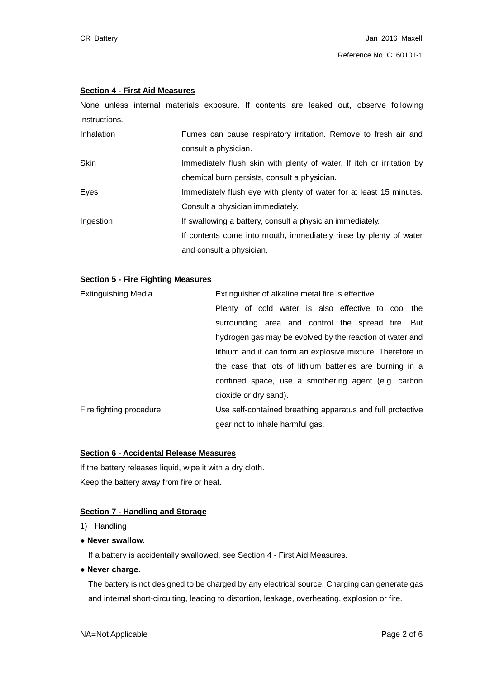### **Section 4 - First Aid Measures**

None unless internal materials exposure. If contents are leaked out, observe following instructions.

| Inhalation | Fumes can cause respiratory irritation. Remove to fresh air and       |
|------------|-----------------------------------------------------------------------|
|            | consult a physician.                                                  |
| Skin       | Immediately flush skin with plenty of water. If itch or irritation by |
|            | chemical burn persists, consult a physician.                          |
| Eyes       | Immediately flush eye with plenty of water for at least 15 minutes.   |
|            | Consult a physician immediately.                                      |
| Ingestion  | If swallowing a battery, consult a physician immediately.             |
|            | If contents come into mouth, immediately rinse by plenty of water     |
|            | and consult a physician.                                              |

### **Section 5 - Fire Fighting Measures**

| <b>Extinguishing Media</b>      | Extinguisher of alkaline metal fire is effective.          |  |  |  |
|---------------------------------|------------------------------------------------------------|--|--|--|
|                                 | Plenty of cold water is also effective to cool the         |  |  |  |
|                                 | surrounding area and control the spread fire. But          |  |  |  |
|                                 | hydrogen gas may be evolved by the reaction of water and   |  |  |  |
|                                 | lithium and it can form an explosive mixture. Therefore in |  |  |  |
|                                 | the case that lots of lithium batteries are burning in a   |  |  |  |
|                                 | confined space, use a smothering agent (e.g. carbon        |  |  |  |
|                                 | dioxide or dry sand).                                      |  |  |  |
| Fire fighting procedure         | Use self-contained breathing apparatus and full protective |  |  |  |
| gear not to inhale harmful gas. |                                                            |  |  |  |

#### **Section 6 - Accidental Release Measures**

If the battery releases liquid, wipe it with a dry cloth. Keep the battery away from fire or heat.

#### **Section 7 - Handling and Storage**

- 1) Handling
- **● Never swallow.**

If a battery is accidentally swallowed, see Section 4 - First Aid Measures.

**● Never charge.**

The battery is not designed to be charged by any electrical source. Charging can generate gas and internal short-circuiting, leading to distortion, leakage, overheating, explosion or fire.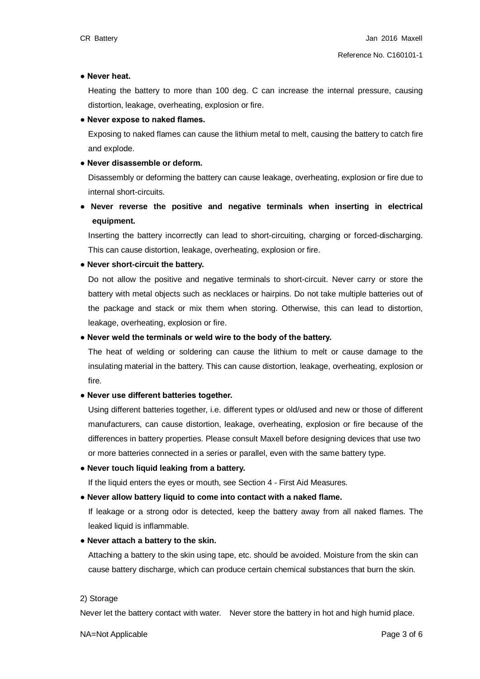#### **● Never heat.**

Heating the battery to more than 100 deg. C can increase the internal pressure, causing distortion, leakage, overheating, explosion or fire.

#### **● Never expose to naked flames.**

Exposing to naked flames can cause the lithium metal to melt, causing the battery to catch fire and explode.

#### **● Never disassemble or deform.**

Disassembly or deforming the battery can cause leakage, overheating, explosion or fire due to internal short-circuits.

# **● Never reverse the positive and negative terminals when inserting in electrical equipment.**

Inserting the battery incorrectly can lead to short-circuiting, charging or forced-discharging. This can cause distortion, leakage, overheating, explosion or fire.

#### **● Never short-circuit the battery.**

Do not allow the positive and negative terminals to short-circuit. Never carry or store the battery with metal objects such as necklaces or hairpins. Do not take multiple batteries out of the package and stack or mix them when storing. Otherwise, this can lead to distortion, leakage, overheating, explosion or fire.

#### **● Never weld the terminals or weld wire to the body of the battery.**

The heat of welding or soldering can cause the lithium to melt or cause damage to the insulating material in the battery. This can cause distortion, leakage, overheating, explosion or fire.

#### **● Never use different batteries together.**

Using different batteries together, i.e. different types or old/used and new or those of different manufacturers, can cause distortion, leakage, overheating, explosion or fire because of the differences in battery properties. Please consult Maxell before designing devices that use two or more batteries connected in a series or parallel, even with the same battery type.

#### **● Never touch liquid leaking from a battery.**

If the liquid enters the eyes or mouth, see Section 4 - First Aid Measures.

#### **● Never allow battery liquid to come into contact with a naked flame.**

If leakage or a strong odor is detected, keep the battery away from all naked flames. The leaked liquid is inflammable.

#### **● Never attach a battery to the skin.**

Attaching a battery to the skin using tape, etc. should be avoided. Moisture from the skin can cause battery discharge, which can produce certain chemical substances that burn the skin.

#### 2) Storage

Never let the battery contact with water. Never store the battery in hot and high humid place.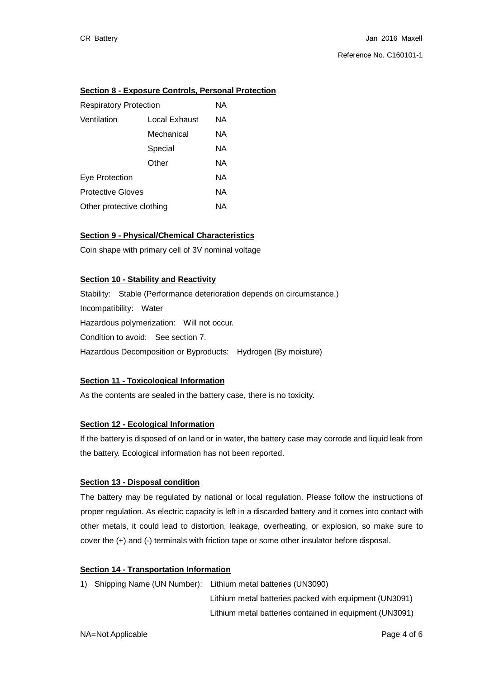# **Section 8 - Exposure Controls, Personal Protection**

| <b>Respiratory Protection</b> |               | ΝA |
|-------------------------------|---------------|----|
| Ventilation                   | Local Exhaust | ΝA |
|                               | Mechanical    | ΝA |
|                               | Special       | ΝA |
|                               | Other         | ΝA |
| Eye Protection                |               | ΝA |
| <b>Protective Gloves</b>      |               | ΝA |
| Other protective clothing     |               | ΝA |

# **Section 9 - Physical/Chemical Characteristics**

Coin shape with primary cell of 3V nominal voltage

# **Section 10 - Stability and Reactivity**

Stability: Stable (Performance deterioration depends on circumstance.) Incompatibility: Water Hazardous polymerization: Will not occur. Condition to avoid: See section 7. Hazardous Decomposition or Byproducts: Hydrogen (By moisture)

# **Section 11 - Toxicological Information**

As the contents are sealed in the battery case, there is no toxicity.

#### **Section 12 - Ecological Information**

If the battery is disposed of on land or in water, the battery case may corrode and liquid leak from the battery. Ecological information has not been reported.

#### **Section 13 - Disposal condition**

The battery may be regulated by national or local regulation. Please follow the instructions of proper regulation. As electric capacity is left in a discarded battery and it comes into contact with other metals, it could lead to distortion, leakage, overheating, or explosion, so make sure to cover the (+) and (-) terminals with friction tape or some other insulator before disposal.

#### **Section 14 - Transportation Information**

1) Shipping Name (UN Number): Lithium metal batteries (UN3090)

 Lithium metal batteries packed with equipment (UN3091) Lithium metal batteries contained in equipment (UN3091)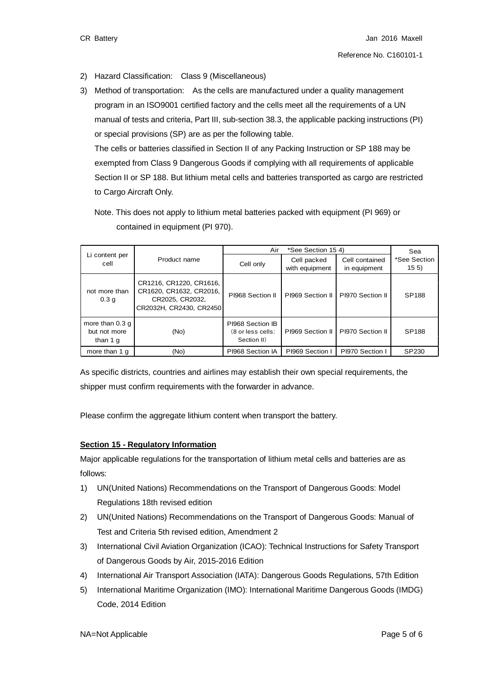- 2) Hazard Classification: Class 9 (Miscellaneous)
- 3) Method of transportation: As the cells are manufactured under a quality management program in an ISO9001 certified factory and the cells meet all the requirements of a UN manual of tests and criteria, Part III, sub-section 38.3, the applicable packing instructions (PI) or special provisions (SP) are as per the following table.

The cells or batteries classified in Section II of any Packing Instruction or SP 188 may be exempted from Class 9 Dangerous Goods if complying with all requirements of applicable Section II or SP 188. But lithium metal cells and batteries transported as cargo are restricted to Cargo Aircraft Only.

Note. This does not apply to lithium metal batteries packed with equipment (PI 969) or contained in equipment (PI 970).

|                                              | Product name                                                                                     | Air<br>*See Section 15 4)                            |                               |                                | Sea                             |
|----------------------------------------------|--------------------------------------------------------------------------------------------------|------------------------------------------------------|-------------------------------|--------------------------------|---------------------------------|
| Li content per<br>cell                       |                                                                                                  | Cell only                                            | Cell packed<br>with equipment | Cell contained<br>in equipment | *See Section<br>15 <sub>5</sub> |
| not more than<br>0.3 <sub>g</sub>            | CR1216, CR1220, CR1616,<br>CR1620, CR1632, CR2016,<br>CR2025, CR2032,<br>CR2032H, CR2430, CR2450 | PI968 Section II                                     | PI969 Section II              | PI970 Section II               | <b>SP188</b>                    |
| more than $0.3q$<br>but not more<br>than 1 g | (No)                                                                                             | PI968 Section IB<br>(8 or less cells:<br>Section II) | PI969 Section II              | PI970 Section II               | <b>SP188</b>                    |
| more than 1 q                                | (No)                                                                                             | PI968 Section IA                                     | PI969 Section                 | PI970 Section I                | SP230                           |

As specific districts, countries and airlines may establish their own special requirements, the shipper must confirm requirements with the forwarder in advance.

Please confirm the aggregate lithium content when transport the battery.

#### **Section 15 - Regulatory Information**

Major applicable regulations for the transportation of lithium metal cells and batteries are as follows:

- 1) UN(United Nations) Recommendations on the Transport of Dangerous Goods: Model Regulations 18th revised edition
- 2) UN(United Nations) Recommendations on the Transport of Dangerous Goods: Manual of Test and Criteria 5th revised edition, Amendment 2
- 3) International Civil Aviation Organization (ICAO): Technical Instructions for Safety Transport of Dangerous Goods by Air, 2015-2016 Edition
- 4) International Air Transport Association (IATA): Dangerous Goods Regulations, 57th Edition
- 5) International Maritime Organization (IMO): International Maritime Dangerous Goods (IMDG) Code, 2014 Edition